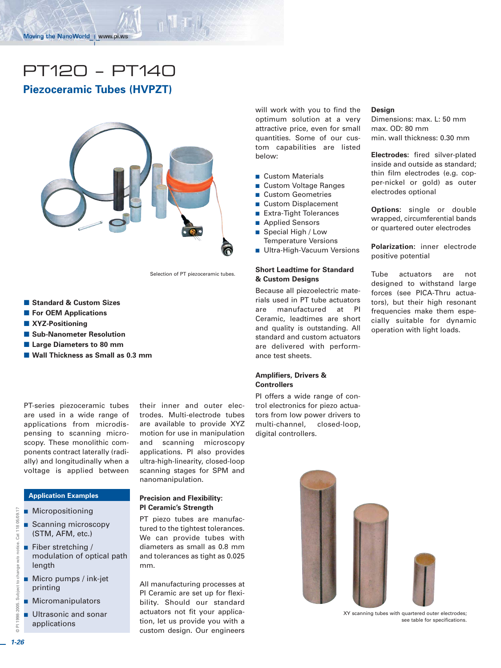# PT120 – PT140

# **Piezoceramic Tubes (HVPZT)**



Selection of PT piezoceramic tubes.

- Standard & Custom Sizes
- **For OEM Applications**
- **XYZ-Positioning**
- **E** Sub-Nanometer Resolution
- **E** Large Diameters to 80 mm
- Wall Thickness as Small as 0.3 mm

PT-series piezoceramic tubes are used in a wide range of applications from microdispensing to scanning microscopy. These monolithic components contract laterally (radially) and longitudinally when a voltage is applied between

#### **Application Examples**

- **Micropositioning**
- **B** Scanning microscopy (STM, AFM, etc.)
- Fiber stretching / modulation of optical path length
- $\blacksquare$  Micro pumps / ink-jet printing
- **Micromanipulators**
- - Ultrasonic and sonar applications

their inner and outer electrodes. Multi-electrode tubes are available to provide XYZ motion for use in manipulation and scanning microscopy applications. PI also provides ultra-high-linearity, closed-loop scanning stages for SPM and nanomanipulation.

#### **Precision and Flexibility: PI Ceramic's Strength**

PT piezo tubes are manufactured to the tightest tolerances. We can provide tubes with diameters as small as 0.8 mm and tolerances as tight as 0.025 mm.

All manufacturing processes at PI Ceramic are set up for flexibility. Should our standard actuators not fit your application, let us provide you with a custom design. Our engineers

will work with you to find the optimum solution at a very attractive price, even for small quantities. Some of our custom capabilities are listed below:

- **Custom Materials**
- Custom Voltage Ranges
- Custom Geometries
- **Custom Displacement**
- Extra-Tight Tolerances
- **Applied Sensors**
- Special High / Low
- Temperature Versions ■ Ultra-High-Vacuum Versions

#### **Short Leadtime for Standard & Custom Designs**

Because all piezoelectric materials used in PT tube actuators are manufactured at PI Ceramic, leadtimes are short and quality is outstanding. All standard and custom actuators are delivered with performance test sheets.

#### **Amplifiers, Drivers & Controllers**

PI offers a wide range of control electronics for piezo actuators from low power drivers to multi-channel, closed-loop, digital controllers.

#### **Design**

Dimensions: max. L: 50 mm max. OD: 80 mm min. wall thickness: 0.30 mm

**Electrodes:** fired silver-plated inside and outside as standard; thin film electrodes (e.g. copper-nickel or gold) as outer electrodes optional

**Options:** single or double wrapped, circumferential bands or quartered outer electrodes

**Polarization:** inner electrode positive potential

Tube actuators are not designed to withstand large forces (see PICA-Thru actuators), but their high resonant frequencies make them especially suitable for dynamic operation with light loads.



XY scanning tubes with quartered outer electrodes; see table for specifications.

© PI 1998-2005. Subject to change w/o notice. Cat 118 05/09.17

@ PI 1998-2005. Subject to change w/o

notice.

Cat 118 05/09.17